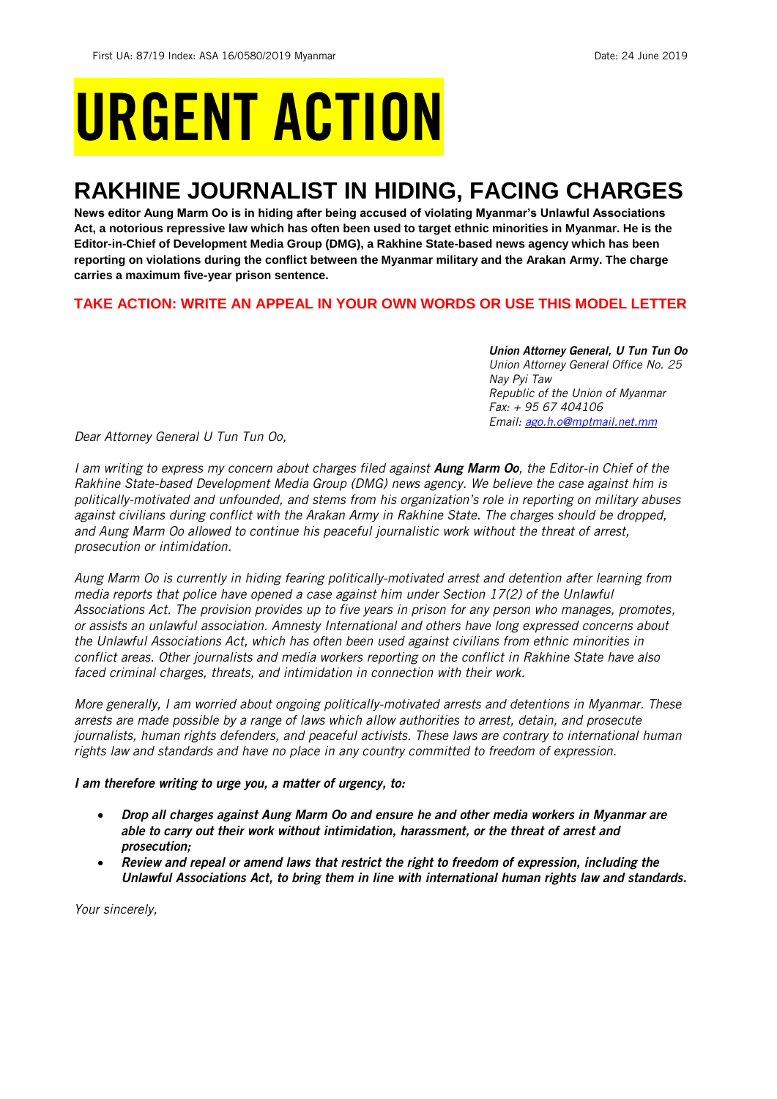# URGENT ACTION

## **RAKHINE JOURNALIST IN HIDING, FACING CHARGES**

**News editor Aung Marm Oo is in hiding after being accused of violating Myanmar's Unlawful Associations Act, a notorious repressive law which has often been used to target ethnic minorities in Myanmar. He is the Editor-in-Chief of Development Media Group (DMG), a Rakhine State-based news agency which has been reporting on violations during the conflict between the Myanmar military and the Arakan Army. The charge carries a maximum five-year prison sentence.**

## **TAKE ACTION: WRITE AN APPEAL IN YOUR OWN WORDS OR USE THIS MODEL LETTER**

*Union Attorney General, U Tun Tun Oo Union Attorney General Office No. 25 Nay Pyi Taw Republic of the Union of Myanmar Fax: + 95 67 404106 Email: [ago.h.o@mptmail.net.mm](mailto:ago.h.o@mptmail.net.mm)*

*Dear Attorney General U Tun Tun Oo,*

*I am writing to express my concern about charges filed against Aung Marm Oo, the Editor-in Chief of the Rakhine State-based Development Media Group (DMG) news agency. We believe the case against him is politically-motivated and unfounded, and stems from his organization's role in reporting on military abuses against civilians during conflict with the Arakan Army in Rakhine State. The charges should be dropped, and Aung Marm Oo allowed to continue his peaceful journalistic work without the threat of arrest, prosecution or intimidation.*

*Aung Marm Oo is currently in hiding fearing politically-motivated arrest and detention after learning from media reports that police have opened a case against him under Section 17(2) of the Unlawful Associations Act. The provision provides up to five years in prison for any person who manages, promotes, or assists an unlawful association. Amnesty International and others have long expressed concerns about the Unlawful Associations Act, which has often been used against civilians from ethnic minorities in conflict areas. Other journalists and media workers reporting on the conflict in Rakhine State have also faced criminal charges, threats, and intimidation in connection with their work.* 

*More generally, I am worried about ongoing politically-motivated arrests and detentions in Myanmar. These arrests are made possible by a range of laws which allow authorities to arrest, detain, and prosecute journalists, human rights defenders, and peaceful activists. These laws are contrary to international human rights law and standards and have no place in any country committed to freedom of expression.*

## *I am therefore writing to urge you, a matter of urgency, to:*

- *Drop all charges against Aung Marm Oo and ensure he and other media workers in Myanmar are able to carry out their work without intimidation, harassment, or the threat of arrest and prosecution;*
- *Review and repeal or amend laws that restrict the right to freedom of expression, including the Unlawful Associations Act, to bring them in line with international human rights law and standards.*

*Your sincerely,*